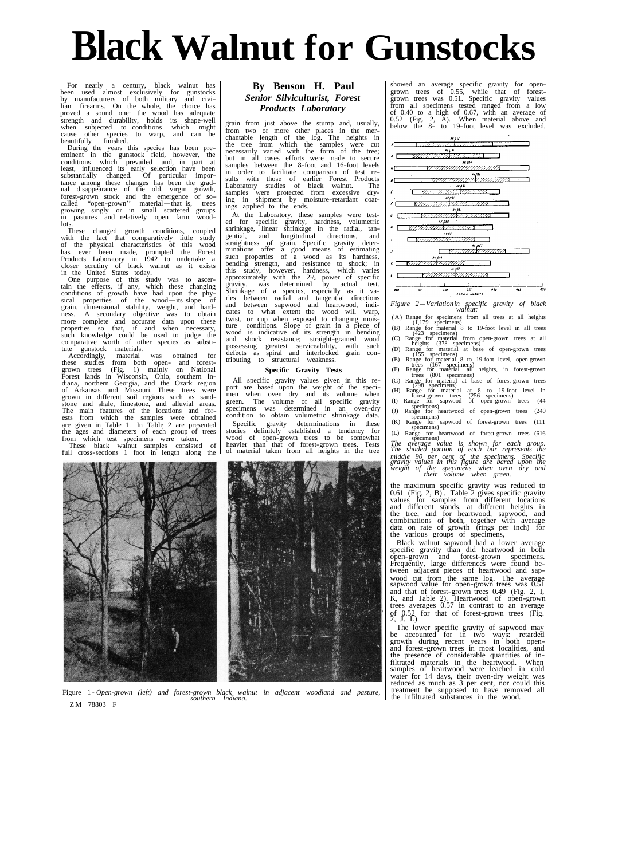# **Black Walnut for Gunstocks**

For nearly a century, black v<br>en used almost exclusively for For nearly a century, black walnut has **By Benson H. Paul** showed an average specific gravity for open-<br>been used almost exclusively for gunstocks **By Benson H. Paul** showed an average specific gravity for open-<br>by manufac

busined.<br>
During the years this species has been pre<br>
eminent in the gunstock field, however, the<br>
conditions which prevailed and, in part a Counting the years this species has been pre-<br>
member the term which the samples were cut<br>
eminent in the gunstock field, however, the conditions which prevailed and, in part at<br>
exast, influenced its early selection have

with the fact that comparatively little study gential, and of the physical characteristics of this wood straightness of of the Forest made, prompted the Forest minations offer a good means of estimating<br>Products Laboratory in 1942 to undertake a such properties of a wood as its hardness,<br>closer scrutiny of black walnut as it exists bending

The conduction of growth have had upon the physical purpose of this study was to accertain the effects, if any, which these changing sical properties of the wood-its slope of grain, dimensional stability, weight, and hardn such knowledge could be used to judge the wood is indicative of its strength in bending  $\binom{423}{22}$  specimens)

Forest lands in Wisconsin, Ohio, southern In-<br>Forest lands in Wisconsin, Ohio, southern In- transmission are the second the second specimens) grown in different soil regions such as sand-<br>grown in different soil regions such as sand-Figure in tradition to the samples were obtained condition to obtain volumetric shrinkage data.  $\frac{1}{100}$  specimens) specimens) are the ages and diameters of each group of trees studies definitely established a tendency for  $\left(\frac{1}{L}\right)$  Range for specimens) from which test specimens were taken.

grain from just above the stump and, usually,<br>from two or more other places in the mer-<br>chantable length of the log. The heights in<br>the tree from which the samples were cut<br>necessarily varied with the form of the tree;<br>but

These changed growth conditions, coupled shrinkage, linear shrinkage in the radial, tand longitudinal directions, and<br>of grain Specific gravity deterof grain. Specific gravity deter-<br>offer a good means of estimating such knowledge could be used to judge the<br>comparative of its strength in bending<br>comparative worth of other species as substi-<br>the gunstock materials. Subsections are the gunstance in the such a defects as spiral and inter

of and all



the infiltrated substances in the wood. Figure 1 - *Open-grown (left) and forest-grown black walnut in adjacent woodland and pasture, southern Indiana.*  Z M 78803 F

lian firearms. On the whole, the choice has *Products Laboratory* from all specimens tested ranged from a low proved a sound one: the wood has adequate *Products Laboratory* of 0.40 to a high of 0.67, with an average o



the maximum specific gravity was reduced to 0.61 (Fig. 2, B). Table 2 gives specific gravity values for samples from different locations and different stands, at different heights in the tree, and for heartwood, sapwood, a

Black walnut sapwood had a lower average specific gravity than did heartwood in both open-grown and forest-grown specimens. Frequently, large differences were found be tween adjacent pieces of heartwood and sap wood cut from the same log. The average sapwood value for open-grown trees was 0.51 and that of forest-grown trees 0.49 (Fig. 2, I, K, and Table 2). Heartwood of open-grown trees averages 0.57 in contrast to an average  $\frac{1}{2}$  for that of forest-grown trees (Fig. 2, J. L).

The lower specific gravity of sapwood may be accounted for in two ways: retarded growth during recent years in both open-<br>and forest-grown trees in most localities, and the presence of considerable quantities of in-<br>filtrated materials in the heartwood. When and meartwood. When samples of heartwood were leached in cold water for 14 days, their oven-dry weight was reduced as much as 3 per cent, nor could this treatment be supposed to have removed all the infiltrated substances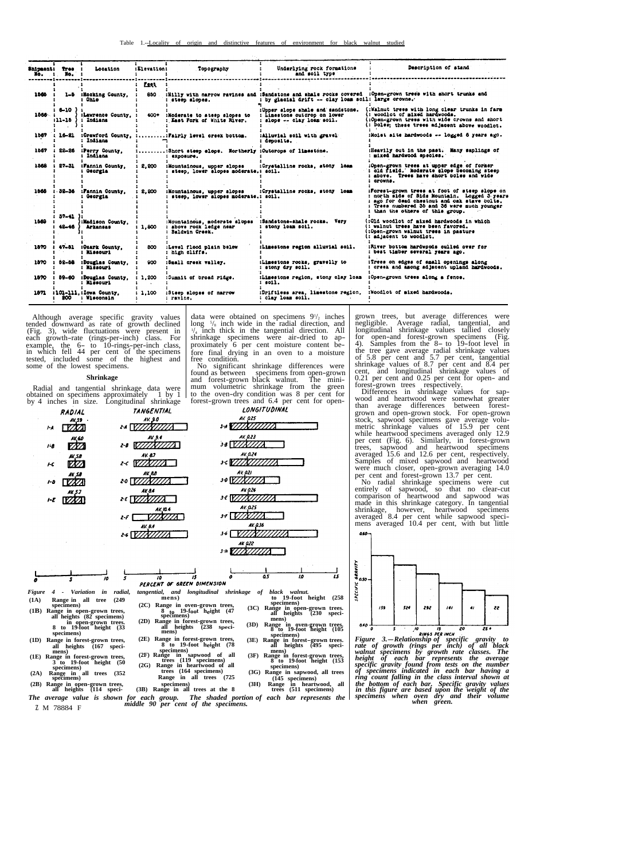|       | Shipment: Tree :<br>$M_0$ , $\ddot{\phantom{a}}$ , $M_0$ , $\ddot{\phantom{a}}$ | Location                                | :Elevation:               | Topography                                                               | Underlying rock formations<br>and soil type                                                   | Description of stand                                                                                                                                                                                                           |
|-------|---------------------------------------------------------------------------------|-----------------------------------------|---------------------------|--------------------------------------------------------------------------|-----------------------------------------------------------------------------------------------|--------------------------------------------------------------------------------------------------------------------------------------------------------------------------------------------------------------------------------|
|       | ****************                                                                |                                         | ----------<br><b>Feet</b> |                                                                          |                                                                                               |                                                                                                                                                                                                                                |
| 1565  |                                                                                 | 1-5 :Hocking County,<br>Ohio            | 850                       | steep slopes.                                                            | by glacial drift -- clay loam soil: large orowns.                                             | :Hilly with narrow ravines and :Sandstone and shale rocks covered :Open-grown trees with short trunks and                                                                                                                      |
| 1566. | $6 - 10$<br>$11 - 15$                                                           | :Lawrence County,<br>: Indiana          | 400+                      | :Moderate to steep slopes to<br>: East Fork of White River.              | :Upper slope shale and sandstone.<br>: Linestone outcrop on lower<br>slope -- clay loss soil. | (:Walnut trees with long clear trunks in farm<br>(: woodlot of mixed hardwoods.<br>(:Open-grown trees with wide crowns and short<br>(: boles: these trees adjacent above woodlot.                                              |
| 1967  | 16–21                                                                           | : Indiana                               |                           | :Grawford County, ::Fairly level creek bottom.                           | :Alluvial soil with gravel<br>: deposits.                                                     | :Moist site hardwoods -- logged 6 years ago.                                                                                                                                                                                   |
| 1567  | 22-26                                                                           | :Perry County,<br>: Indiana             |                           | :Short steep slope. Mortherly :Outcrops of limestone.<br>$:$ exposure.   |                                                                                               | :Heavily out in the past. Many saplings of<br>mixed hardwood species.                                                                                                                                                          |
| 1568  | 27-31                                                                           | :Fannin County,<br>: Georgia            | 2,200                     | iMountainous, upper slopes<br>steep. lower slopes moderate.: soil.       | :Crystalline rocks, stony loam                                                                | Open-grown trees at upper edge of former<br>old field. Moderate slope becoming steep<br>above. Trees have short boles and wide<br>crowns.                                                                                      |
| 1568  | 32-36                                                                           | :Fannin County,<br>: Georgia            | 2.200                     | :Mountainous, upper slopes<br>steep, lower slopes moderate.: soil.       | :Crystalline rocks, stony loam                                                                | :Forest-grown trees at foot of steep slope on<br>: north side of Sids Mountain. Logged 5 years<br>: ago for dead chestnut and oak stave bolts.<br>Trees numbered 35 and 36 were much younger<br>than the others of this group. |
| 1569  | $37 - 41$<br>$42 - 46$                                                          | :Madison County.<br><b>Arkansas</b>     | 1.800                     | :Mountainous, moderate slopes<br>above rock ledge near<br>Baldwin Creek. | :Sandstone-shale rocks. Very<br>: stony loam soil.                                            | (:Old woodlet of mixed hardwoods in which<br>(; walnut trees have been favored.<br>(:Open-grown walnut trees in pasture<br>(: adjačent to woodlot.                                                                             |
| 1570  | $47 - 51$                                                                       | :Quark County.<br>: Missouri            | 800                       | :Level flood plain below<br>: high cliffs.                               | :Limestone region alluvial soil.                                                              | :River bottom hardwoods culled over for<br>: best timber several years ago.                                                                                                                                                    |
| 1570  | 52-58                                                                           | :Douglas County,<br>: Missouri          | 900                       | :Small creek valley.                                                     | :Limestone rocks, gravelly to<br>: stony dry soil.                                            | :Trees on edges of small openings along<br>: creek and among adjacent upland hardwoods.                                                                                                                                        |
| 1570  | 59-60                                                                           | :Douglas County.<br>: Missouri          | 1,200                     | :Summit of broad ridge.                                                  | :Limestone region, stony clay loan<br>: 0011.                                                 | :Open-grown trees along a fence.                                                                                                                                                                                               |
| 1871  | 200                                                                             | :101-111. : Iowa County.<br>: Wisconsin | 1.100                     | :Steep slopes of narrow<br>: ravine.                                     | :Driftless area, limestone region,<br>: clay loam soil.                                       | :Woodlot of mixed hardwoods.                                                                                                                                                                                                   |

Although average specific gravity values<br>tended downward as rate of growth declined<br>(Fig. 3), wide fluctuations were present in<br>each growth-rate (rings-per-inch) class. For<br>example, the 6- to 10-rings-per-inch class,<br>in wh

**Shrinkage** 

Radial and tangential shrinkage data were obtained on specimens approximately 1 by 1 by 4 inches in size. Longitudinal shrinkage

| <b>RADIAL</b>     | ັ<br>$\check{ }$<br><b>TANGENTIAL</b> | LONGITUDINAL         |
|-------------------|---------------------------------------|----------------------|
| AK 59             | AV. 9.0                               | AV. 025              |
| M                 | $\alpha$ $\neg$                       | 34V                  |
| AK, 60<br>$1 - 8$ | NV 9.4<br>2-8                         | AV 0.23<br>38 F E    |
| AV. 58<br>ŀC      | AV 87<br>1Z<br>$2 - c$                | AV. 0.24<br>ふくれ      |
| AV 58<br>1-0      | AV.88<br>20 I                         | AK 021<br>3-0 IP     |
| AV 5.7<br>1-E     | AK 84<br>≿€I                          | <b>AV 026</b><br>J£  |
|                   | AV. 10.4<br>$2 - F$                   | <b>AV.025</b><br>J-F |
|                   | <b>AV. 8.4</b><br>2-6 L               | AV. 036<br>3-6       |
|                   |                                       | <b>AK 922</b><br>J·H |
|                   |                                       |                      |

 $\overline{a}$ s  $\bar{s}$ 70  $\overline{15}$ PERCENT OF GREEN DIMENSION *Figure 4 - Variation in radial, tangential, and longitudinal shrinkage of black walnut.*<br>
(1A) Range in all tree (249 specimens) **the 19-foot height (258**<br>
specimens) **conditionally** *mens* (250 specimens) *mechanis* (2C) Range in oven-grown trees,<br>
8 to 19-foot height (47<br>
spectheres)<br>
spectheres,<br>
all heights (238 speci-<br>
mens) specimens) (2C) Range in oven-grown trees, specimens)<br>ange in open-grown trees,  $\frac{8 \text{ t_0}}{2}$ ,  $\frac{19\text{-}$ foot height (47  $\frac{1}{2}$ ) Range in open-grown trees. (1B) Range in open-grown trees,<br>all heights (32 specifies) and the specific specifies (32 specifies) and the specific specifies (32 specifies)<br>all non-grown trees,<br>all heights (238 specifies)<br>specifies (328 specifies)<br>spe (1D) Range in forest-grown trees,<br>
8 to 19-foot height (78<br>
specimens)<br>
(1D) Range in forest-grown trees,<br>
specimens)<br>
(1D) Range in forest-grown trees,<br>
all heights (167 speci-<br>
all heights (167 speci-<br>
all heights (167 s

**mens) all heights (167 speci- mens) specimens)**

**(1E) Range in forest-grown trees, (2F) Range in sapwood of all (3F) Range in forest-grown trees, 8 to 19-foot height (153 (2G) Range in heartwood of all specimens) 3 to 19-foot height (50 trees (164 specimens) specimens) (2A) Range in all trees (352 (3G) Range in sapwood, all trees Range in all trees (725 trees (119 specimens)** 

(2B) Range in open-grown trees, all heights (114 speci-<br>
all heights (114 speci-<br>
all heights (114 speci-<br>
<sup>(3B)</sup> Range in all trees at the 8 trees (311 speci-

*The average value is shown for each group. The shaded portion of each bar represents the*  z M 78884 F *middle 90 per cent of the specimens. green.* 

data were obtained on specimens  $9^{1/2}$  inches long  $\frac{5}{8}$  inch wide in the radial direction, and  $\frac{1}{4}$  inch thick in the tangential direction. All shrinkage specimens were air-dried to ap- proximately 6 per cent moisture content be- fore final drying in an oven to a moisture free condition.

No significant shrinkage differences were found as between specimens from open-grown And forest-grown black walnut. The mini-<br>mum volumetric shrinkage from the green<br>to the oven-dry condition was 8 per cent for<br>forest-grown trees and 6.4 per cent for opengrown trees, but average differences were negligible. Average radial, tangential, and longitudinal shrinkage values tallied closely<br>for open-and forest-grown specimens (Fig.<br>4). Samples from the 8- to 19-foot level in<br>the tree gave average radial shrinkage values<br>of 5.8 per cent and 5.7 per cent, tangential

per cent (Fig. 6). Similarly, in forest-grown trees, sapwood and heartwood specimens averaged 15.6 and 12.6 per cent, respectively. Samples of mixed sapwood and heartwood were much closer, open-grown averaging 14.0

per cent and rorest-grown 13.7 per cent.<br>No radial shrinkage specimens were cut<br>entirely of sapwood, so that no clear-cut<br>comparison of heartwood and sapwood was<br>made in this shrinkage category. In tangential<br>shrinkage, ho



75

70

**1997 1997 1997 1998 1998 1999 1999 1999 1999 1999 1999 1999 1999 1999 1999 1999 1999 1999 1999 1999 1999 1999 1999 1999 1999 1999 1999 1999 1999 1999 1999 1999** of specimens indicated in each bar having a<br>ring count falling in the class interval shown at<br>the bottom of each bar. Specific gravity values<br>in this figure are based upon the weight of the<br>specimens when are are made thei

70 à

- 
- 

**(145 specimens) specimens) (3H) Range in heartwood, all specimens)**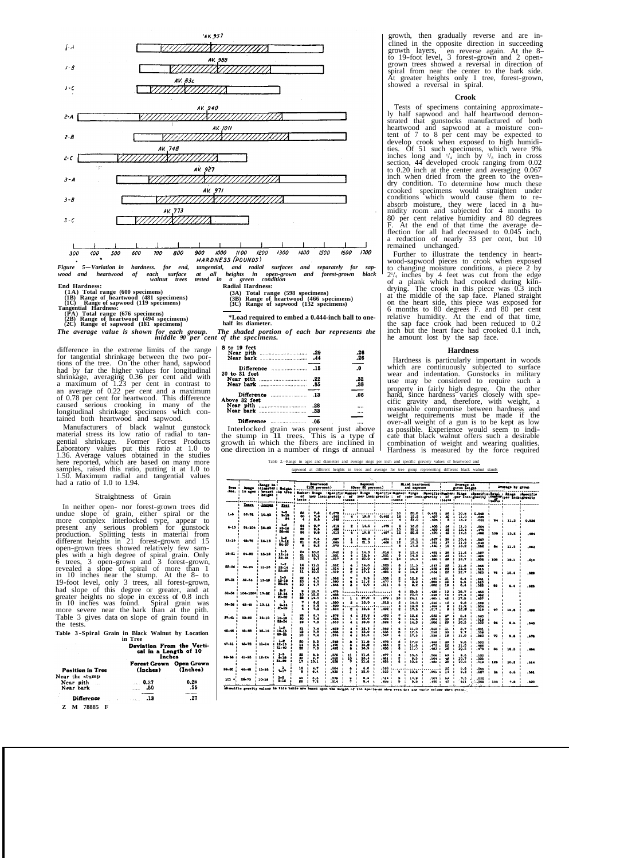

difference in the extreme limits of the range for tangential shrinkage between the two portions of the tree. On the other hand, sapwood had by far the higher values for longitudinal<br>shrinkage, averaging 0.36 per cent and with<br>a maximum of 1.23 per cent in contrast to<br>an average of 0.22 per cent in contrast to<br>on average of 0.22 per cent and a maximum<br>of 0.

Manufacturers of black walnut gunstock material stress its low ratio of radial to tangential shrinkage. Former Forest Products Laboratory values put this ratio at 1.0 to 1.36. Average values obtained in the studies here reported, which are based on many more samples, raised this ratio, putting it at 1.0 to 1.50. Maximum radial and tangential values had a ratio of 1.0 to 1.94.

Straightness of Grain<br>In neither open- nor forest-grown trees did In neither open- nor forest-grown trees did<br>undue slope of grain, either spiral or the<br>more complex interlocked type, appear to<br>present any serious problem for gunstock<br>production. Splitting tests in material from<br>differen 6 trees, 3 open-grown and 3 forest-grown, revealed a slope of spiral of more than 1 in 10 inches near the stump. At the 8- to 19-foot level, only 3 trees, all forest-grown, had slope of this degree or greater, and at greater heights no slope in excess of 0.8 inch in 10 inches was found. Spiral grain was more severe near the bark than at the pith. Table 3 gives data on slope of grain found in the tests.

**Table 3 -Spiral Grain in Black Walnut by Location in Tree** 

|                                                                                                                     | Deviation From the Verti-<br>cal in a Length of 10<br>Inches |             |  |  |  |
|---------------------------------------------------------------------------------------------------------------------|--------------------------------------------------------------|-------------|--|--|--|
| <b>Position in Tree</b><br>Near the stump                                                                           | Forest Grown Open Grown<br>(Inches)                          | (Inches)    |  |  |  |
| Near pith<br>Near bark                                                                                              | . 0.37<br>$\ldots$ .50                                       | 0.28<br>.55 |  |  |  |
| ٠<br>Difference and the communications of the series of the series of the series of the series of the series of the | - 12                                                         | .27         |  |  |  |
| 70005                                                                                                               |                                                              |             |  |  |  |

**Z M 78885 F** 

*wood and heartwood of each surface at all heights in open-grown and forest-grown black walnut trees tested in a green condition*  End Hardness:<br>
End Hardness:<br>
End Hardness:<br>
End Hardness:<br>  $(1A)$  Total range (600 specimens)<br>
(18) Range of heartwood (481 specimens)<br>
(18) Range of heartwood (481 specimens)<br>
(38) Range of heartwood (466 specimens)<br>
(38

*The average value is shown for each group. The shaded portion of each bar represents the middle 90 per cent of the specimens.* 

| <b>8 to 19 feet</b>                                                                                                                                                                                                                  | ا2.<br>$\overline{2}$ |
|--------------------------------------------------------------------------------------------------------------------------------------------------------------------------------------------------------------------------------------|-----------------------|
|                                                                                                                                                                                                                                      |                       |
|                                                                                                                                                                                                                                      | $\mathbf{0}$          |
| 20 to 31 feet                                                                                                                                                                                                                        |                       |
|                                                                                                                                                                                                                                      | .81                   |
|                                                                                                                                                                                                                                      | .88                   |
|                                                                                                                                                                                                                                      |                       |
|                                                                                                                                                                                                                                      | .06                   |
| Above 32 feet                                                                                                                                                                                                                        |                       |
|                                                                                                                                                                                                                                      |                       |
|                                                                                                                                                                                                                                      |                       |
|                                                                                                                                                                                                                                      |                       |
| $\mathbf{r}$ and $\mathbf{r}$ are the set of the set of the set of the set of the set of the set of the set of the set of the set of the set of the set of the set of the set of the set of the set of the set of the set of the set |                       |
|                                                                                                                                                                                                                                      |                       |

Interlocked grain was present just above the stump in 11 trees. This is a type of growth in which the fibers are inclined in one direction in a number of rings of annual

growth, then gradually reverse and are in-<br>clined in the opposite direction in succeeding<br>manufactured in the opposite direction in succeeding enned in the opposite uncertuin in successuing<br>growth layers, en reverse again. At the 8-<br>to 19-foot level, 3 forest-grown and 2 open-<br>grown trees showed a reversal in direction of<br>spiral from near the center to the bark s

**Crook**  Tests of specimens containing approximate ly half sapwood and half heartwood demon strated that gunstocks manufactured of both sheartwood and sapwood at a moisture content of 7 to 8 per cent may be expected to develop crook when exposed to high humidi-<br>ties. Of 51 such specimens, which were 9% inches long and  $\frac{1}{4}$  inch by  $\frac{5}{8}$  inch in cross section, 44 developed crook ranging from 0.02 to 0.20 inch at the center and averaging 0.067 to 0.20 men at use einer and averaging 0.007<br>inch when dried from the green to the oven-<br>dry condition. To determine how much these<br>crooked specimens would straighten under<br>conditions which would cause them to re-<br>absorb m F. At the end of that time the average de flection for all had decreased to 0.045 inch, a reduction of nearly 33 per cent, but 10 remained unchanged.

Further to illustrate the tendency in heart-wood-sapwood pieces to crook when exposed to changing moisture conditions, a piece 2 by  $2^{1/4}$  inches by 4 feet was cut from the edge of a plank which had crooked during kiln-6 months to 80 degrees F. and 80 per cent relative humidity. At the end of that time, the sap face crook had been reduced to 0.2 inch but the heart face had crooked 0.1 inch, he amount lost by the sap face.

# **Hardness**

Hardness is particularly important in woods which are continuously subjected to surface wear and indentation. Gunstocks in military use may be considered to require such a property in fairly high degree. On the other hand, since hardness varies closely with specific gravity and, therefore, with weight, a reasonable compromise between hardness and weight requirements must be made if the over-all weight of a gun is to be kept as low as possible. Experience would seem to indi-<br>cate that black walnut offers such a desirable combination of weight and wearing qualities. Hardness is measured by the force required

Table 2.--Range in ages and diameters and average rings per inch and specific graviety values of heartwood and sapwood at different heights in trees and average for tree group representing different black walnut stands

| Tree.            | .<br>Not. in ages : brash ins tree : Rumber: Rings : Specific:Humber: Rings : Specific:Humber: Rings : Apecific:Thumber: Rings : Apecific:Thumber: Rings : Apecific: Paul : Rings : Apecific:<br>  of :per inchighavity : of :per in | <b>IPance in :</b><br>Range :diameter: Moight : |                                   | <b>Beartwood</b><br>$(100$ percent)                         |                            | <b>Bapvood</b><br>(Over 90 percent)   |                         |                         | Mixed heartwood<br>and sapycod       |                                   |                                      | Average at<br>given height                        |                                                |                                                           | Average by groun                |            |      |       |
|------------------|--------------------------------------------------------------------------------------------------------------------------------------------------------------------------------------------------------------------------------------|-------------------------------------------------|-----------------------------------|-------------------------------------------------------------|----------------------------|---------------------------------------|-------------------------|-------------------------|--------------------------------------|-----------------------------------|--------------------------------------|---------------------------------------------------|------------------------------------------------|-----------------------------------------------------------|---------------------------------|------------|------|-------|
|                  |                                                                                                                                                                                                                                      |                                                 |                                   | $t$ tasts $t$                                               |                            |                                       | stests :                |                         | $\cdot$                              | steets :                          |                                      | $\ddot{\phantom{a}}$                              | : tests :                                      |                                                           |                                 | $$ $$      |      |       |
|                  | Xeara                                                                                                                                                                                                                                | <b>Links</b><br>$\mathbf{r}$                    | Zeet.                             |                                                             |                            |                                       |                         |                         |                                      |                                   |                                      |                                                   |                                                |                                                           |                                 |            |      |       |
| 1. 6             | 57-72                                                                                                                                                                                                                                | 10.80                                           | $3 - 2$<br>$2 - 12$<br>л.<br>24   | 26<br>$\mathbf{r}$<br>30<br>$\cdot$<br>٠<br>$\cdot$         | 7.3<br>7.6<br>9.5          | 0.078<br>х<br><b>.M2</b><br>٠<br>.540 | $\cdot$                 | 4:19.5:                 | 0.482:                               | 10<br>16                          | 80.0<br>16.2<br>$\mathbf{1}$<br>21.0 | 0.472<br>.497:<br>.406                            | 36<br>60<br>٠                                  | 10.0<br>×<br>$\mathbf{r}$<br>11.0<br>$\mathbf{r}$<br>15.2 | 0.540<br>.688<br>.522           | ۵۵.        | 11.3 | 0.536 |
| $-10$            | 91-104 : 15-20                                                                                                                                                                                                                       |                                                 | $2 - 2$<br>18-16<br>26-46         | 94<br>22<br>$\mathbf{r}$<br>26<br>$\mathbf{r}$              | 9.7<br>9.5<br>9.8          | .618<br>-488<br>.813                  | 2<br>٠                  | 14.5<br>10.8<br>и.      | .479<br>.487<br>$\ddot{\phantom{a}}$ | 10<br>×<br>12<br>×                | 16.0<br>22.1<br>22.8                 | .468<br>- 459<br>.470                             | 34<br>32<br>42                                 | 11.5<br>13.4<br>$\cdot$<br>14.5<br>$\mathbf{r}$           | .504<br>-479<br>.498            | 108<br>1   | 13.2 | . 484 |
| $11 - 18$        | $43 - 76$                                                                                                                                                                                                                            | $: 14-18$                                       | $1 - 2$<br>10-18<br>24.27         | 96<br>21<br>$\ddot{\phantom{a}}$<br>6<br>$\mathbf{z}$       | 7.6<br>0.8<br>9.2          | .567<br>-668<br>.672                  | ٠                       | 28.0<br>21.0<br>$\cdot$ | .424<br>.468<br>-1                   | 12                                | 16.1<br>10.3<br>17.2                 | .027<br>.521<br>.540                              | 36<br>37<br>$\cdot$<br>12                      | 10.4<br>11.9<br>$\mathbf{r}$<br>13.2                      | .167<br>-540<br>. 666           | 84         | 11.5 | , 663 |
| 16-81 :          | $6 - 90$                                                                                                                                                                                                                             | $13 - 10$                                       | $1 - 6$<br>12-14<br>28-36         | 24<br>m<br>22<br>$\bullet$                                  | 1.10.5<br>1, 10.1<br>9.7   | .642<br>.501<br>.617                  | э<br>÷<br>٠<br>٠        | 14,3<br>15.9<br>23.0    | .616<br>.501<br>$-400$               | ۵<br>13<br>٠                      | 13.4<br>14.9<br>٠.<br>15.4           | , 491<br>.480:<br>. 498<br>÷                      | 36<br>$\mathbf{r}$<br>34<br>38<br>×            | 11.6<br>12.1<br>л.<br>12.7                                | .527<br>-406<br>.806<br>$\cdot$ | 108        | 17.1 | - 610 |
| 22-26            | 63-94                                                                                                                                                                                                                                | $11 - 16$<br>٠                                  | $1 - 2$<br>$12 - 14$<br>23-28     | 16<br>16<br>11                                              | 11.1<br>: 11.6<br>1.10.5   | .562<br>.514<br>-919                  | ٠<br>٠<br>1             | 14.0<br>15.0<br>17.5    | .823<br>.805<br>. 495                | $\mathbf{1}$<br>ь<br>$\mathbf{r}$ | 11.5<br>15.2<br>14.2                 | .547<br>÷<br>.629<br>$\mathbf{r}$<br>.634         | ٥â<br>٠<br>26<br>$\mathbf{r}$<br>22<br>$\cdot$ | 11.6<br>15.0<br>12.7                                      | . 545<br>. 618<br>.623          | 74         | 12.4 | . 668 |
| 27-31            | 52-54                                                                                                                                                                                                                                | 13-18<br>$\mathbf{r}$<br>$\mathbf{1}$           | $1 - 3$<br>$10 - 10$<br>$80 - 84$ | 22<br>23<br>٠<br>10<br>$\mathbf{r}$                         | 4.7<br>4.5<br>4.7          | - 556<br>.680<br>546                  | $\mathbf{r}$<br>$\cdot$ | 9.9<br>11.2<br>9.0      | .508.<br>.477<br>- 511               | п.<br>$\mathbf{r}$<br>٠           | 12.5<br>8.9<br>8.2                   | . 490<br>.006<br>- 1<br>.008<br>$\mathbf{z}$      | 31<br>33<br>$\mathbf{r}$<br>١ŝ                 | 6.4<br>6.5<br>6.4                                         | .541<br>.010<br>.528            | âb         | 6.4  | .628  |
| 32-34            | 104-120*: 17-22<br>×                                                                                                                                                                                                                 | t.                                              | $2 - 7$<br>18-16<br>20-62<br>ı    | ۰<br>10<br>29<br>٠                                          | 1.16.7<br>1, 25, 2<br>14.0 | . 476<br>468<br>. 615                 | $\cdot$                 | 27.0                    | $-479$                               | 13                                | 25.5<br>23.0<br>24.1                 | . 436<br>٠<br>- 448<br>.466                       | 13<br>14<br>42<br>$\overline{1}$               | 28.7<br>17.4<br>17.6                                      | . 463<br>. 462<br>- 497         |            |      |       |
| 35.36<br>$\cdot$ | $42 - 45$                                                                                                                                                                                                                            | 1 10 11                                         | $2 - 14$<br>80-29<br>٠            | ٠                                                           | 6.6<br>5.8<br>7.8          | -580<br>.620<br>. 634                 | $\mathbf{r}$            | 13.9<br>$\cdot$<br>19.5 | .618<br>.492 .                       |                                   | 16.9<br>18.9<br>17.5                 | .560<br>.489<br>$\mathbf{r}$<br>-917<br>$\cdot$   | 12<br>8<br>×                                   | 9.8<br>11.9<br>÷.<br>12.0                                 | . 559<br>.504<br>.619           | $^{\circ}$ | 15.8 | - 401 |
| 37.41            | 83-66                                                                                                                                                                                                                                | $: 12 - 18$<br>$\cdot$                          | 12-10<br>23.54                    | 24<br>20<br>1<br>19<br>٠                                    | 6.7<br>7.6<br>7.5          | .678<br>.125<br>. 653                 | ı                       | 18.8<br>18.9<br>18.0    | - 492<br>$-494$<br>. 524             | ā                                 | 12.6<br>14.6<br>14.3                 | .638<br>.004<br>÷<br>.606<br>$\cdot$              | 37<br>30<br>×<br>29                            | 8.4<br>10.0<br>10.3                                       | .560<br>. 518<br>559            | 96         | 9.5  | . 640 |
|                  | 45-68                                                                                                                                                                                                                                | $12 - 16$                                       | $1-2$<br>$10 - 16$<br>20-25       | 21<br>ïä<br>10<br>1                                         | 7.4<br>7.8<br>7.4          | .622<br>.586<br>574                   |                         | 12.2<br>15.0<br>15.6    | .662<br>$-536$<br>.547 :             | А                                 | 11.0<br>12.5<br>17.5                 | -560<br>- 1<br>556<br>$\cdot$<br>. 558<br>$\cdot$ | 31<br>$\mathbf{30}$<br>18                      | 8.7<br>9.7<br>11.0                                        | .601<br>. 559<br>560            | 79         | 9.6  | -674  |
| $47 - 51$        | 43-72<br>÷                                                                                                                                                                                                                           | 11-14                                           | $1 - 2$<br>12-15<br>21-40         | 20<br>$\mathbf{r}$<br>14<br>$\ddot{\phantom{a}}$<br>22<br>٠ | 8.2<br>9.6<br>7.6          | $-518$<br>$-470$<br>٠<br>.492         | 8<br>Ł<br>а             | 33.0<br>16.2<br>16.9    | .478<br>. 456<br>- 436               | 2<br>2<br>$\mathbf{r}$<br>٨       | 17.0<br>11.6<br>11.0                 | .460:<br>. 470<br>÷<br>. 483<br>$\cdot$           | 20<br>22<br>×<br>36<br>×                       | 9.6<br>11.5<br>10.2                                       | .503<br>- 466<br>. 478          | 68         | 10.3 | - 484 |
| 52.66            | $41 - 83$<br>$\cdot$                                                                                                                                                                                                                 | 12-24<br>٠                                      | $1 - 5$<br>$8 - 18$<br>81-39      | 35<br>33<br>п.<br>17<br>$\mathbf{r}$                        | 0.9<br>9.7<br>10.1         | .555<br>. 622<br>.639                 | 11<br>13<br>,           | 11.6<br>13.4<br>11.6    | .477<br>. 661<br>.495                | 2<br>6                            | 10.6<br>9.5<br>10.5                  | .506<br>.504<br>×<br>. 48u                        | $^{60}$<br>48<br>÷<br>30<br>٠                  | 9.6<br>10.7<br>10.6                                       | -620<br>. 505<br>.510           | 120        | 10.1 | .614  |
| 59-60            | id-48                                                                                                                                                                                                                                | $15 - 16$                                       | ı<br>9.17                         | 16<br>×                                                     | 4.7<br>6.4                 | .684<br>539                           | ×                       | a.o<br>12.0             | .516<br>.523                         | ь                                 | 10.6                                 | .506<br>$\cdot$                                   | 14                                             | 5.6<br>0.3                                                | .566<br>.527                    | 56         | 6.6  | . 581 |
| $101 +$          | 26-70                                                                                                                                                                                                                                | $: 10 - 16$                                     | $1 - 1$<br>$9 - 12$               | 40<br>×<br>86<br>$\cdot$                                    | 6.6<br>7.2                 | .539<br>.514                          | ۰                       | 8.4<br>9.4              | $-014$<br>. 496                      | ٠<br>÷                            | 10.9<br>9.9                          | .507<br>×<br>. 496<br>$\cdot$                     | ъè<br>42                                       | 7.5<br>612                                                | .530<br>$-500$                  | 100        | 7.8  | .620  |